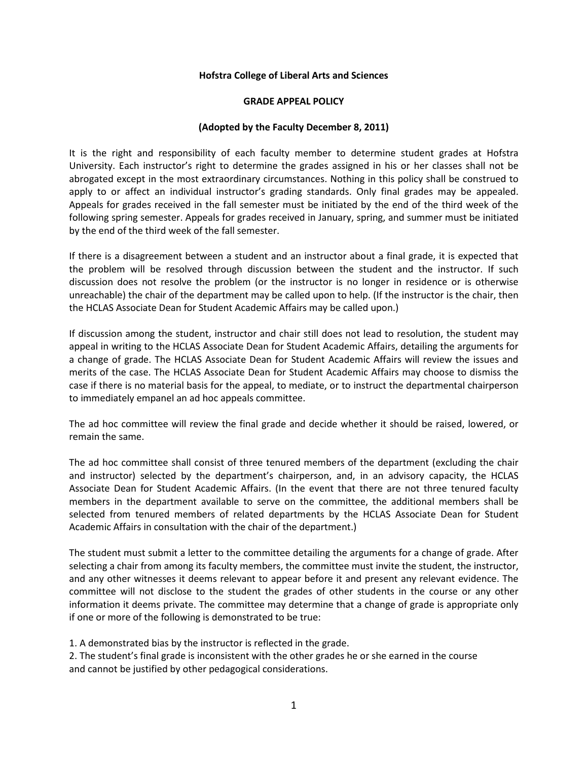## **Hofstra College of Liberal Arts and Sciences**

## **GRADE APPEAL POLICY**

## **(Adopted by the Faculty December 8, 2011)**

It is the right and responsibility of each faculty member to determine student grades at Hofstra University. Each instructor's right to determine the grades assigned in his or her classes shall not be abrogated except in the most extraordinary circumstances. Nothing in this policy shall be construed to apply to or affect an individual instructor's grading standards. Only final grades may be appealed. Appeals for grades received in the fall semester must be initiated by the end of the third week of the following spring semester. Appeals for grades received in January, spring, and summer must be initiated by the end of the third week of the fall semester.

If there is a disagreement between a student and an instructor about a final grade, it is expected that the problem will be resolved through discussion between the student and the instructor. If such discussion does not resolve the problem (or the instructor is no longer in residence or is otherwise unreachable) the chair of the department may be called upon to help. (If the instructor is the chair, then the HCLAS Associate Dean for Student Academic Affairs may be called upon.)

If discussion among the student, instructor and chair still does not lead to resolution, the student may appeal in writing to the HCLAS Associate Dean for Student Academic Affairs, detailing the arguments for a change of grade. The HCLAS Associate Dean for Student Academic Affairs will review the issues and merits of the case. The HCLAS Associate Dean for Student Academic Affairs may choose to dismiss the case if there is no material basis for the appeal, to mediate, or to instruct the departmental chairperson to immediately empanel an ad hoc appeals committee.

The ad hoc committee will review the final grade and decide whether it should be raised, lowered, or remain the same.

The ad hoc committee shall consist of three tenured members of the department (excluding the chair and instructor) selected by the department's chairperson, and, in an advisory capacity, the HCLAS Associate Dean for Student Academic Affairs. (In the event that there are not three tenured faculty members in the department available to serve on the committee, the additional members shall be selected from tenured members of related departments by the HCLAS Associate Dean for Student Academic Affairs in consultation with the chair of the department.)

The student must submit a letter to the committee detailing the arguments for a change of grade. After selecting a chair from among its faculty members, the committee must invite the student, the instructor, and any other witnesses it deems relevant to appear before it and present any relevant evidence. The committee will not disclose to the student the grades of other students in the course or any other information it deems private. The committee may determine that a change of grade is appropriate only if one or more of the following is demonstrated to be true:

1. A demonstrated bias by the instructor is reflected in the grade.

2. The student's final grade is inconsistent with the other grades he or she earned in the course and cannot be justified by other pedagogical considerations.